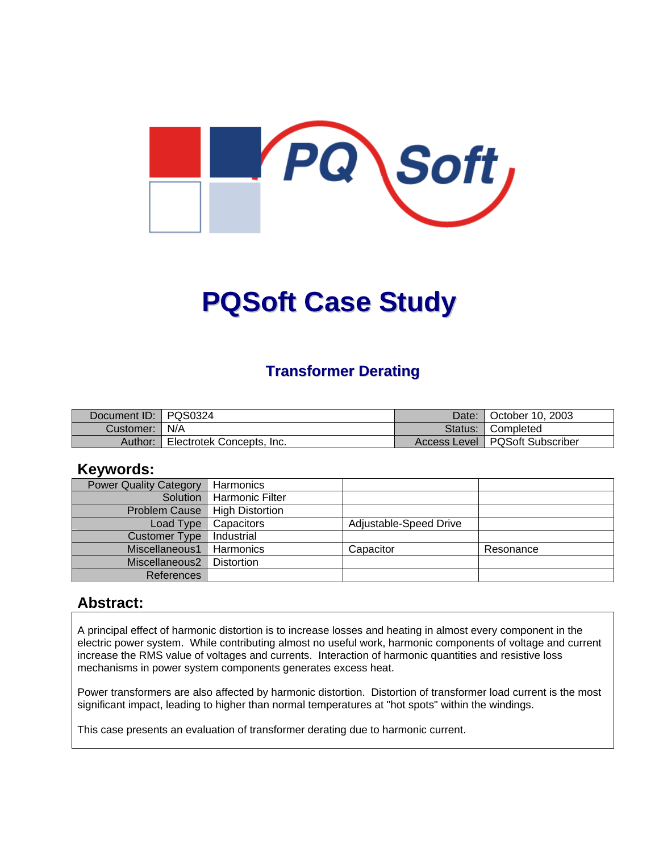

# **PQSoft Case Study**

## **Transformer Derating**

| Document ID: PQS0324 |                           | Date: | October 10, 2003                 |
|----------------------|---------------------------|-------|----------------------------------|
| Customer:   N/A      |                           |       | Status: Completed                |
| Author:              | Electrotek Concepts, Inc. |       | Access Level   PQSoft Subscriber |

#### **Keywords:**

| <b>Power Quality Category</b> | Harmonics              |                        |           |
|-------------------------------|------------------------|------------------------|-----------|
| Solution                      | <b>Harmonic Filter</b> |                        |           |
| <b>Problem Cause</b>          | <b>High Distortion</b> |                        |           |
| Load Type                     | Capacitors             | Adjustable-Speed Drive |           |
| <b>Customer Type</b>          | Industrial             |                        |           |
| Miscellaneous1                | Harmonics              | Capacitor              | Resonance |
| Miscellaneous2                | <b>Distortion</b>      |                        |           |
| References                    |                        |                        |           |

#### **Abstract:**

A principal effect of harmonic distortion is to increase losses and heating in almost every component in the electric power system. While contributing almost no useful work, harmonic components of voltage and current increase the RMS value of voltages and currents. Interaction of harmonic quantities and resistive loss mechanisms in power system components generates excess heat.

Power transformers are also affected by harmonic distortion. Distortion of transformer load current is the most significant impact, leading to higher than normal temperatures at "hot spots" within the windings.

This case presents an evaluation of transformer derating due to harmonic current.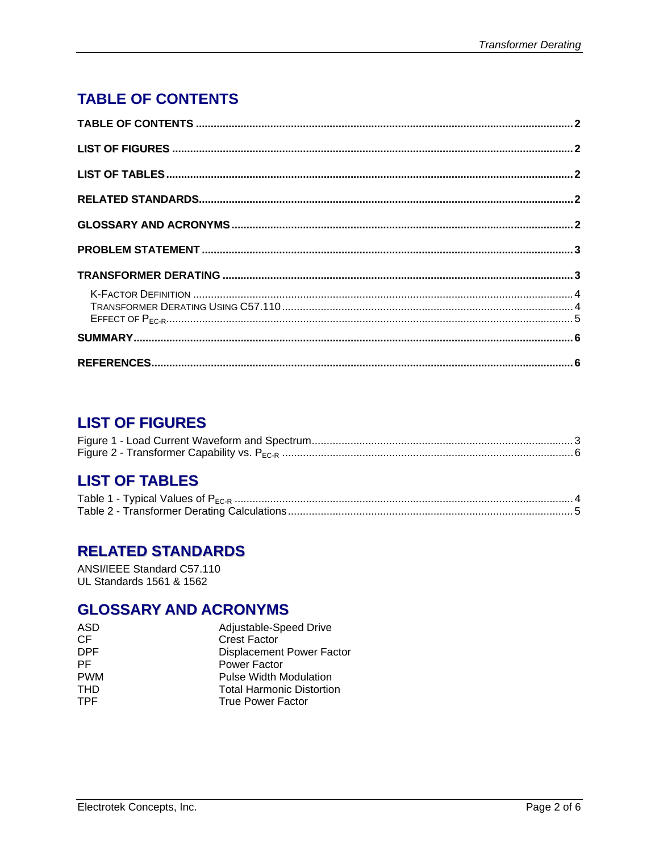# <span id="page-1-0"></span>**TABLE OF CONTENTS**

## **LIST OF FIGURES**

# **LIST OF TABLES**

# **RELATED STANDARDS**

ANSI/IEEE Standard C57.110 UL Standards 1561 & 1562

## **GLOSSARY AND ACRONYMS**

| ASD        | Adjustable-Speed Drive           |
|------------|----------------------------------|
| СF         | <b>Crest Factor</b>              |
| DPF        | <b>Displacement Power Factor</b> |
| РF         | Power Factor                     |
| <b>PWM</b> | <b>Pulse Width Modulation</b>    |
| THD        | <b>Total Harmonic Distortion</b> |
| TPF.       | <b>True Power Factor</b>         |
|            |                                  |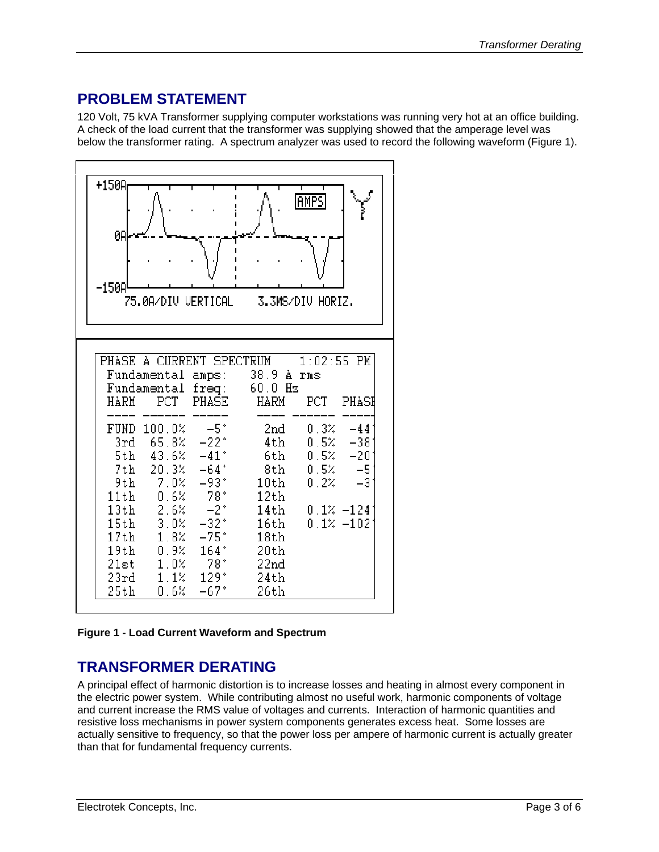# <span id="page-2-0"></span>**PROBLEM STATEMENT**

120 Volt, 75 kVA Transformer supplying computer workstations was running very hot at an office building. A check of the load current that the transformer was supplying showed that the amperage level was below the transformer rating. A spectrum analyzer was used to record the following waveform [\(Figure 1\)](#page-2-1).

<span id="page-2-1"></span>

**Figure 1 - Load Current Waveform and Spectrum** 

## **TRANSFORMER DERATING**

A principal effect of harmonic distortion is to increase losses and heating in almost every component in the electric power system. While contributing almost no useful work, harmonic components of voltage and current increase the RMS value of voltages and currents. Interaction of harmonic quantities and resistive loss mechanisms in power system components generates excess heat. Some losses are actually sensitive to frequency, so that the power loss per ampere of harmonic current is actually greater than that for fundamental frequency currents.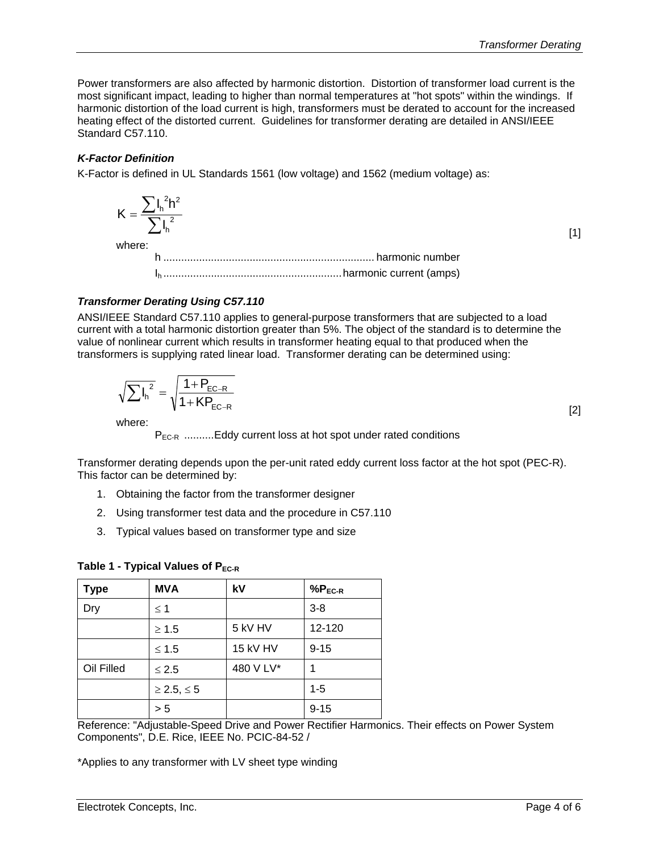<span id="page-3-0"></span>Power transformers are also affected by harmonic distortion. Distortion of transformer load current is the most significant impact, leading to higher than normal temperatures at "hot spots" within the windings. If harmonic distortion of the load current is high, transformers must be derated to account for the increased heating effect of the distorted current. Guidelines for transformer derating are detailed in ANSI/IEEE Standard C57.110.

#### *K-Factor Definition*

K-Factor is defined in UL Standards 1561 (low voltage) and 1562 (medium voltage) as:

$$
K = \frac{\sum I_n^2 h^2}{\sum I_n^2}
$$
  
where:  
h  
momentum *harmonic number*

Ih ............................................................harmonic current (amps)

#### *Transformer Derating Using C57.110*

ANSI/IEEE Standard C57.110 applies to general-purpose transformers that are subjected to a load current with a total harmonic distortion greater than 5%. The object of the standard is to determine the value of nonlinear current which results in transformer heating equal to that produced when the transformers is supplying rated linear load. Transformer derating can be determined using:

$$
\sqrt{\sum l_{h}^{2}} = \sqrt{\frac{1 + P_{EC-R}}{1 + KP_{EC-R}}}
$$
\n(2)

where:

P<sub>EC-R</sub> ..........Eddy current loss at hot spot under rated conditions

Transformer derating depends upon the per-unit rated eddy current loss factor at the hot spot (PEC-R). This factor can be determined by:

- 1. Obtaining the factor from the transformer designer
- 2. Using transformer test data and the procedure in C57.110
- 3. Typical values based on transformer type and size

| . .         |                      |           |             |  |
|-------------|----------------------|-----------|-------------|--|
| <b>Type</b> | <b>MVA</b>           | kV        | $%P_{EC-R}$ |  |
| Dry         | $\leq$ 1             |           | $3 - 8$     |  |
|             | $\geq 1.5$           | 5 kV HV   | 12-120      |  |
|             | $≤ 1.5$              | 15 kV HV  | $9 - 15$    |  |
| Oil Filled  | $\leq 2.5$           | 480 V LV* | 1           |  |
|             | $\geq$ 2.5, $\leq$ 5 |           | $1 - 5$     |  |
|             | > 5                  |           | $9 - 15$    |  |

#### **Table 1 - Typical Values of P<sub>EC-R</sub>**

Reference: "Adjustable-Speed Drive and Power Rectifier Harmonics. Their effects on Power System Components", D.E. Rice, IEEE No. PCIC-84-52 /

\*Applies to any transformer with LV sheet type winding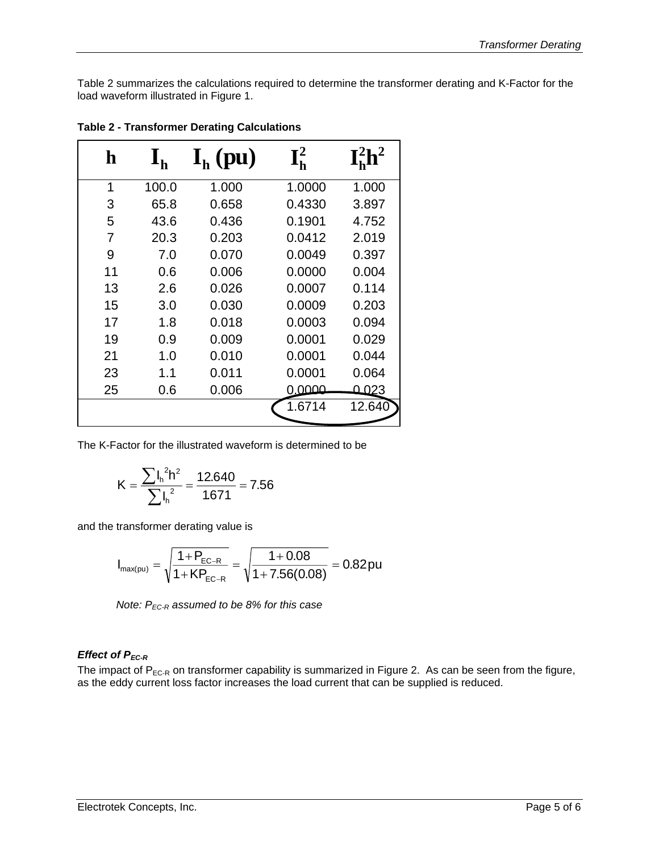<span id="page-4-0"></span>[Table 2](#page-4-1) summarizes the calculations required to determine the transformer derating and K-Factor for the load waveform illustrated in [Figure 1.](#page-2-1)

| h  | $\mathbf{I}_{\mathbf{h}}$ | $\mathbf{I}_{\mathbf{h}}$ (pu) | ${\bf I}_{\bf h}^2$ | $I_h^2 h^2$ |
|----|---------------------------|--------------------------------|---------------------|-------------|
| 1  | 100.0                     | 1.000                          | 1.0000              | 1.000       |
| 3  | 65.8                      | 0.658                          | 0.4330              | 3.897       |
| 5  | 43.6                      | 0.436                          | 0.1901              | 4.752       |
| 7  | 20.3                      | 0.203                          | 0.0412              | 2.019       |
| 9  | 7.0                       | 0.070                          | 0.0049              | 0.397       |
| 11 | 0.6                       | 0.006                          | 0.0000              | 0.004       |
| 13 | 2.6                       | 0.026                          | 0.0007              | 0.114       |
| 15 | 3.0                       | 0.030                          | 0.0009              | 0.203       |
| 17 | 1.8                       | 0.018                          | 0.0003              | 0.094       |
| 19 | 0.9                       | 0.009                          | 0.0001              | 0.029       |
| 21 | 1.0                       | 0.010                          | 0.0001              | 0.044       |
| 23 | 1.1                       | 0.011                          | 0.0001              | 0.064       |
| 25 | 0.6                       | 0.006                          | 0.0000              | Q 023       |
|    |                           |                                | 1.6714              | 12.640      |

<span id="page-4-1"></span>**Table 2 - Transformer Derating Calculations** 

The K-Factor for the illustrated waveform is determined to be

$$
K = \frac{\sum I_h^2 h^2}{\sum I_h^2} = \frac{12.640}{1.671} = 7.56
$$

and the transformer derating value is

$$
I_{\text{max(pu)}} = \sqrt{\frac{1+P_{\text{EC-R}}}{1+KP_{\text{EC-R}}}} = \sqrt{\frac{1+0.08}{1+7.56(0.08)}} = 0.82 \text{pu}
$$

*Note:*  $P_{EC-R}$  assumed to be 8% for this case

#### *Effect of P<sub>EC-R</sub>*

The impact of  $P_{EC-R}$  on transformer capability is summarized in [Figure 2.](#page-5-1) As can be seen from the figure, as the eddy current loss factor increases the load current that can be supplied is reduced.